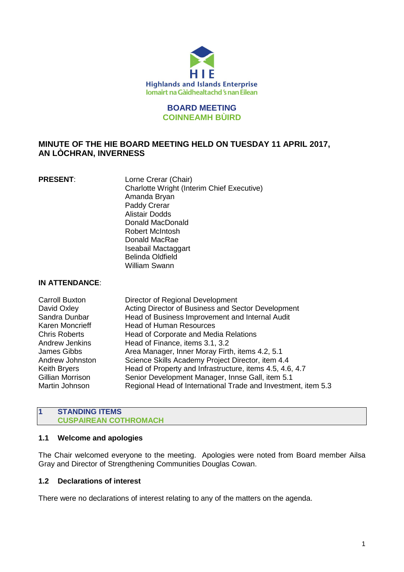

## **BOARD MEETING COINNEAMH BÙIRD**

# **MINUTE OF THE HIE BOARD MEETING HELD ON TUESDAY 11 APRIL 2017, AN LÒCHRAN, INVERNESS**

**PRESENT:** Lorne Crerar (Chair) Charlotte Wright (Interim Chief Executive) Amanda Bryan Paddy Crerar Alistair Dodds Donald MacDonald Robert McIntosh Donald MacRae Iseabail Mactaggart Belinda Oldfield William Swann

# **IN ATTENDANCE**:

| Director of Regional Development                              |
|---------------------------------------------------------------|
| Acting Director of Business and Sector Development            |
| Head of Business Improvement and Internal Audit               |
| <b>Head of Human Resources</b>                                |
| Head of Corporate and Media Relations                         |
| Head of Finance, items 3.1, 3.2                               |
| Area Manager, Inner Moray Firth, items 4.2, 5.1               |
| Science Skills Academy Project Director, item 4.4             |
| Head of Property and Infrastructure, items 4.5, 4.6, 4.7      |
| Senior Development Manager, Innse Gall, item 5.1              |
| Regional Head of International Trade and Investment, item 5.3 |
|                                                               |

### **1 STANDING ITEMS CUSPAIREAN COTHROMACH**

# **1.1 Welcome and apologies**

The Chair welcomed everyone to the meeting. Apologies were noted from Board member Ailsa Gray and Director of Strengthening Communities Douglas Cowan.

# **1.2 Declarations of interest**

There were no declarations of interest relating to any of the matters on the agenda.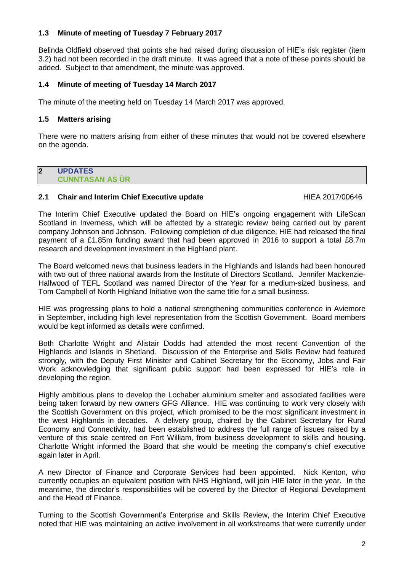# **1.3 Minute of meeting of Tuesday 7 February 2017**

Belinda Oldfield observed that points she had raised during discussion of HIE's risk register (item 3.2) had not been recorded in the draft minute. It was agreed that a note of these points should be added. Subject to that amendment, the minute was approved.

# **1.4 Minute of meeting of Tuesday 14 March 2017**

The minute of the meeting held on Tuesday 14 March 2017 was approved.

### **1.5 Matters arising**

There were no matters arising from either of these minutes that would not be covered elsewhere on the agenda.

# **2 UPDATES CUNNTASAN AS ÙR**

# **2.1 Chair and Interim Chief Executive update HIEA 2017/00646**

The Interim Chief Executive updated the Board on HIE's ongoing engagement with LifeScan Scotland in Inverness, which will be affected by a strategic review being carried out by parent company Johnson and Johnson. Following completion of due diligence, HIE had released the final payment of a £1.85m funding award that had been approved in 2016 to support a total £8.7m research and development investment in the Highland plant.

The Board welcomed news that business leaders in the Highlands and Islands had been honoured with two out of three national awards from the Institute of Directors Scotland. Jennifer Mackenzie-Hallwood of TEFL Scotland was named Director of the Year for a medium-sized business, and Tom Campbell of North Highland Initiative won the same title for a small business.

HIE was progressing plans to hold a national strengthening communities conference in Aviemore in September, including high level representation from the Scottish Government. Board members would be kept informed as details were confirmed.

Both Charlotte Wright and Alistair Dodds had attended the most recent Convention of the Highlands and Islands in Shetland. Discussion of the Enterprise and Skills Review had featured strongly, with the Deputy First Minister and Cabinet Secretary for the Economy, Jobs and Fair Work acknowledging that significant public support had been expressed for HIE's role in developing the region.

Highly ambitious plans to develop the Lochaber aluminium smelter and associated facilities were being taken forward by new owners GFG Alliance. HIE was continuing to work very closely with the Scottish Government on this project, which promised to be the most significant investment in the west Highlands in decades. A delivery group, chaired by the Cabinet Secretary for Rural Economy and Connectivity, had been established to address the full range of issues raised by a venture of this scale centred on Fort William, from business development to skills and housing. Charlotte Wright informed the Board that she would be meeting the company's chief executive again later in April.

A new Director of Finance and Corporate Services had been appointed. Nick Kenton, who currently occupies an equivalent position with NHS Highland, will join HIE later in the year. In the meantime, the director's responsibilities will be covered by the Director of Regional Development and the Head of Finance.

Turning to the Scottish Government's Enterprise and Skills Review, the Interim Chief Executive noted that HIE was maintaining an active involvement in all workstreams that were currently under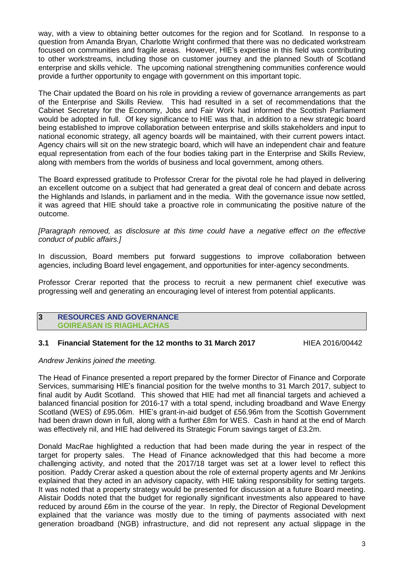way, with a view to obtaining better outcomes for the region and for Scotland. In response to a question from Amanda Bryan, Charlotte Wright confirmed that there was no dedicated workstream focused on communities and fragile areas. However, HIE's expertise in this field was contributing to other workstreams, including those on customer journey and the planned South of Scotland enterprise and skills vehicle. The upcoming national strengthening communities conference would provide a further opportunity to engage with government on this important topic.

The Chair updated the Board on his role in providing a review of governance arrangements as part of the Enterprise and Skills Review. This had resulted in a set of recommendations that the Cabinet Secretary for the Economy, Jobs and Fair Work had informed the Scottish Parliament would be adopted in full. Of key significance to HIE was that, in addition to a new strategic board being established to improve collaboration between enterprise and skills stakeholders and input to national economic strategy, all agency boards will be maintained, with their current powers intact. Agency chairs will sit on the new strategic board, which will have an independent chair and feature equal representation from each of the four bodies taking part in the Enterprise and Skills Review, along with members from the worlds of business and local government, among others.

The Board expressed gratitude to Professor Crerar for the pivotal role he had played in delivering an excellent outcome on a subject that had generated a great deal of concern and debate across the Highlands and Islands, in parliament and in the media. With the governance issue now settled, it was agreed that HIE should take a proactive role in communicating the positive nature of the outcome.

*[Paragraph removed, as disclosure at this time could have a negative effect on the effective conduct of public affairs.]*

In discussion, Board members put forward suggestions to improve collaboration between agencies, including Board level engagement, and opportunities for inter-agency secondments.

Professor Crerar reported that the process to recruit a new permanent chief executive was progressing well and generating an encouraging level of interest from potential applicants.

#### **3 RESOURCES AND GOVERNANCE GOIREASAN IS RIAGHLACHAS**

# **3.1 Financial Statement for the 12 months to 31 March 2017** HIEA 2016/00442

# *Andrew Jenkins joined the meeting.*

The Head of Finance presented a report prepared by the former Director of Finance and Corporate Services, summarising HIE's financial position for the twelve months to 31 March 2017, subject to final audit by Audit Scotland. This showed that HIE had met all financial targets and achieved a balanced financial position for 2016-17 with a total spend, including broadband and Wave Energy Scotland (WES) of £95.06m. HIE's grant-in-aid budget of £56.96m from the Scottish Government had been drawn down in full, along with a further £8m for WES. Cash in hand at the end of March was effectively nil, and HIE had delivered its Strategic Forum savings target of £3.2m.

Donald MacRae highlighted a reduction that had been made during the year in respect of the target for property sales. The Head of Finance acknowledged that this had become a more challenging activity, and noted that the 2017/18 target was set at a lower level to reflect this position. Paddy Crerar asked a question about the role of external property agents and Mr Jenkins explained that they acted in an advisory capacity, with HIE taking responsibility for setting targets. It was noted that a property strategy would be presented for discussion at a future Board meeting. Alistair Dodds noted that the budget for regionally significant investments also appeared to have reduced by around £6m in the course of the year. In reply, the Director of Regional Development explained that the variance was mostly due to the timing of payments associated with next generation broadband (NGB) infrastructure, and did not represent any actual slippage in the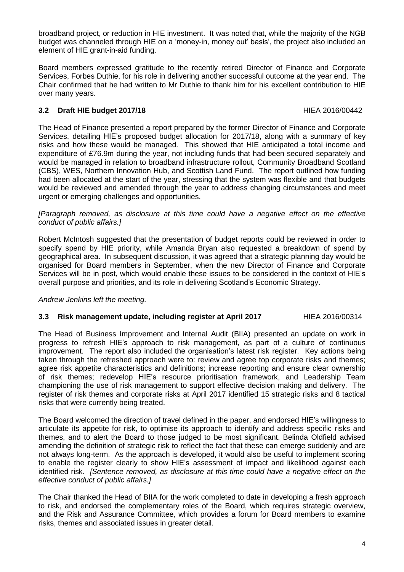broadband project, or reduction in HIE investment. It was noted that, while the majority of the NGB budget was channeled through HIE on a 'money-in, money out' basis', the project also included an element of HIE grant-in-aid funding.

Board members expressed gratitude to the recently retired Director of Finance and Corporate Services, Forbes Duthie, for his role in delivering another successful outcome at the year end. The Chair confirmed that he had written to Mr Duthie to thank him for his excellent contribution to HIE over many years.

# **3.2 Draft HIE budget 2017/18** HIEA 2016/00442

The Head of Finance presented a report prepared by the former Director of Finance and Corporate Services, detailing HIE's proposed budget allocation for 2017/18, along with a summary of key risks and how these would be managed. This showed that HIE anticipated a total income and expenditure of £76.9m during the year, not including funds that had been secured separately and would be managed in relation to broadband infrastructure rollout, Community Broadband Scotland (CBS), WES, Northern Innovation Hub, and Scottish Land Fund. The report outlined how funding had been allocated at the start of the year, stressing that the system was flexible and that budgets would be reviewed and amended through the year to address changing circumstances and meet urgent or emerging challenges and opportunities.

*[Paragraph removed, as disclosure at this time could have a negative effect on the effective conduct of public affairs.]*

Robert McIntosh suggested that the presentation of budget reports could be reviewed in order to specify spend by HIE priority, while Amanda Bryan also requested a breakdown of spend by geographical area. In subsequent discussion, it was agreed that a strategic planning day would be organised for Board members in September, when the new Director of Finance and Corporate Services will be in post, which would enable these issues to be considered in the context of HIE's overall purpose and priorities, and its role in delivering Scotland's Economic Strategy.

*Andrew Jenkins left the meeting.*

# **3.3 Risk management update, including register at April 2017** HIEA 2016/00314

The Head of Business Improvement and Internal Audit (BIIA) presented an update on work in progress to refresh HIE's approach to risk management, as part of a culture of continuous improvement. The report also included the organisation's latest risk register. Key actions being taken through the refreshed approach were to: review and agree top corporate risks and themes; agree risk appetite characteristics and definitions; increase reporting and ensure clear ownership of risk themes; redevelop HIE's resource prioritisation framework, and Leadership Team championing the use of risk management to support effective decision making and delivery. The register of risk themes and corporate risks at April 2017 identified 15 strategic risks and 8 tactical risks that were currently being treated.

The Board welcomed the direction of travel defined in the paper, and endorsed HIE's willingness to articulate its appetite for risk, to optimise its approach to identify and address specific risks and themes, and to alert the Board to those judged to be most significant. Belinda Oldfield advised amending the definition of strategic risk to reflect the fact that these can emerge suddenly and are not always long-term. As the approach is developed, it would also be useful to implement scoring to enable the register clearly to show HIE's assessment of impact and likelihood against each identified risk. *[Sentence removed, as disclosure at this time could have a negative effect on the effective conduct of public affairs.]*

The Chair thanked the Head of BIIA for the work completed to date in developing a fresh approach to risk, and endorsed the complementary roles of the Board, which requires strategic overview, and the Risk and Assurance Committee, which provides a forum for Board members to examine risks, themes and associated issues in greater detail.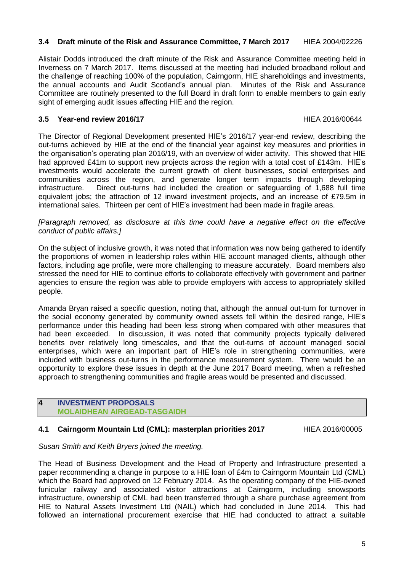# **3.4 Draft minute of the Risk and Assurance Committee, 7 March 2017** HIEA 2004/02226

Alistair Dodds introduced the draft minute of the Risk and Assurance Committee meeting held in Inverness on 7 March 2017. Items discussed at the meeting had included broadband rollout and the challenge of reaching 100% of the population, Cairngorm, HIE shareholdings and investments, the annual accounts and Audit Scotland's annual plan. Minutes of the Risk and Assurance Committee are routinely presented to the full Board in draft form to enable members to gain early sight of emerging audit issues affecting HIE and the region.

# **3.5 Year-end review 2016/17** HIEA 2016/00644

The Director of Regional Development presented HIE's 2016/17 year-end review, describing the out-turns achieved by HIE at the end of the financial year against key measures and priorities in the organisation's operating plan 2016/19, with an overview of wider activity. This showed that HIE had approved £41m to support new projects across the region with a total cost of £143m. HIE's investments would accelerate the current growth of client businesses, social enterprises and communities across the region, and generate longer term impacts through developing infrastructure. Direct out-turns had included the creation or safeguarding of 1,688 full time equivalent jobs; the attraction of 12 inward investment projects, and an increase of £79.5m in international sales. Thirteen per cent of HIE's investment had been made in fragile areas.

*[Paragraph removed, as disclosure at this time could have a negative effect on the effective conduct of public affairs.]*

On the subject of inclusive growth, it was noted that information was now being gathered to identify the proportions of women in leadership roles within HIE account managed clients, although other factors, including age profile, were more challenging to measure accurately. Board members also stressed the need for HIE to continue efforts to collaborate effectively with government and partner agencies to ensure the region was able to provide employers with access to appropriately skilled people.

Amanda Bryan raised a specific question, noting that, although the annual out-turn for turnover in the social economy generated by community owned assets fell within the desired range, HIE's performance under this heading had been less strong when compared with other measures that had been exceeded. In discussion, it was noted that community projects typically delivered benefits over relatively long timescales, and that the out-turns of account managed social enterprises, which were an important part of HIE's role in strengthening communities, were included with business out-turns in the performance measurement system. There would be an opportunity to explore these issues in depth at the June 2017 Board meeting, when a refreshed approach to strengthening communities and fragile areas would be presented and discussed.

### **4 INVESTMENT PROPOSALS MOLAIDHEAN AIRGEAD-TASGAIDH**

# **4.1 Cairngorm Mountain Ltd (CML): masterplan priorities 2017** HIEA 2016/00005

*Susan Smith and Keith Bryers joined the meeting.*

The Head of Business Development and the Head of Property and Infrastructure presented a paper recommending a change in purpose to a HIE loan of £4m to Cairngorm Mountain Ltd (CML) which the Board had approved on 12 February 2014. As the operating company of the HIE-owned funicular railway and associated visitor attractions at Cairngorm, including snowsports infrastructure, ownership of CML had been transferred through a share purchase agreement from HIE to Natural Assets Investment Ltd (NAIL) which had concluded in June 2014. This had followed an international procurement exercise that HIE had conducted to attract a suitable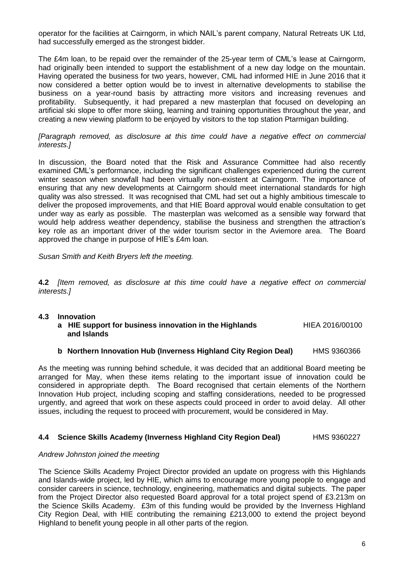operator for the facilities at Cairngorm, in which NAIL's parent company, Natural Retreats UK Ltd, had successfully emerged as the strongest bidder.

The £4m loan, to be repaid over the remainder of the 25-year term of CML's lease at Cairngorm, had originally been intended to support the establishment of a new day lodge on the mountain. Having operated the business for two years, however, CML had informed HIE in June 2016 that it now considered a better option would be to invest in alternative developments to stabilise the business on a year-round basis by attracting more visitors and increasing revenues and profitability. Subsequently, it had prepared a new masterplan that focused on developing an artificial ski slope to offer more skiing, learning and training opportunities throughout the year, and creating a new viewing platform to be enjoyed by visitors to the top station Ptarmigan building.

*[Paragraph removed, as disclosure at this time could have a negative effect on commercial interests.]*

In discussion, the Board noted that the Risk and Assurance Committee had also recently examined CML's performance, including the significant challenges experienced during the current winter season when snowfall had been virtually non-existent at Cairngorm. The importance of ensuring that any new developments at Cairngorm should meet international standards for high quality was also stressed. It was recognised that CML had set out a highly ambitious timescale to deliver the proposed improvements, and that HIE Board approval would enable consultation to get under way as early as possible. The masterplan was welcomed as a sensible way forward that would help address weather dependency, stabilise the business and strengthen the attraction's key role as an important driver of the wider tourism sector in the Aviemore area. The Board approved the change in purpose of HIE's £4m loan.

*Susan Smith and Keith Bryers left the meeting.*

**4.2** *[Item removed, as disclosure at this time could have a negative effect on commercial interests.]*

### **4.3 Innovation**

**a** HIE support for business innovation in the Highlands HIEA 2016/00100 **and Islands**

### **b Northern Innovation Hub (Inverness Highland City Region Deal)** HMS 9360366

As the meeting was running behind schedule, it was decided that an additional Board meeting be arranged for May, when these items relating to the important issue of innovation could be considered in appropriate depth. The Board recognised that certain elements of the Northern Innovation Hub project, including scoping and staffing considerations, needed to be progressed urgently, and agreed that work on these aspects could proceed in order to avoid delay. All other issues, including the request to proceed with procurement, would be considered in May.

### **4.4 Science Skills Academy (Inverness Highland City Region Deal)** HMS 9360227

# *Andrew Johnston joined the meeting*

The Science Skills Academy Project Director provided an update on progress with this Highlands and Islands-wide project, led by HIE, which aims to encourage more young people to engage and consider careers in science, technology, engineering, mathematics and digital subjects. The paper from the Project Director also requested Board approval for a total project spend of £3.213m on the Science Skills Academy. £3m of this funding would be provided by the Inverness Highland City Region Deal, with HIE contributing the remaining £213,000 to extend the project beyond Highland to benefit young people in all other parts of the region.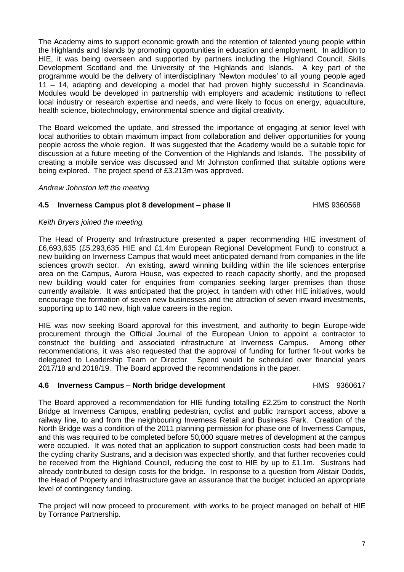The Academy aims to support economic growth and the retention of talented young people within the Highlands and Islands by promoting opportunities in education and employment. In addition to HIE, it was being overseen and supported by partners including the Highland Council, Skills Development Scotland and the University of the Highlands and Islands. A key part of the programme would be the delivery of interdisciplinary 'Newton modules' to all young people aged 11 – 14, adapting and developing a model that had proven highly successful in Scandinavia. Modules would be developed in partnership with employers and academic institutions to reflect local industry or research expertise and needs, and were likely to focus on energy, aquaculture, health science, biotechnology, environmental science and digital creativity.

The Board welcomed the update, and stressed the importance of engaging at senior level with local authorities to obtain maximum impact from collaboration and deliver opportunities for young people across the whole region. It was suggested that the Academy would be a suitable topic for discussion at a future meeting of the Convention of the Highlands and Islands. The possibility of creating a mobile service was discussed and Mr Johnston confirmed that suitable options were being explored. The project spend of £3.213m was approved.

### *Andrew Johnston left the meeting*

# **4.5 Inverness Campus plot 8 development – phase II** HMS 9360568

# *Keith Bryers joined the meeting.*

The Head of Property and Infrastructure presented a paper recommending HIE investment of £6,693,635 (£5,293,635 HIE and £1.4m European Regional Development Fund) to construct a new building on Inverness Campus that would meet anticipated demand from companies in the life sciences growth sector. An existing, award winning building within the life sciences enterprise area on the Campus, Aurora House, was expected to reach capacity shortly, and the proposed new building would cater for enquiries from companies seeking larger premises than those currently available. It was anticipated that the project, in tandem with other HIE initiatives, would encourage the formation of seven new businesses and the attraction of seven inward investments, supporting up to 140 new, high value careers in the region.

HIE was now seeking Board approval for this investment, and authority to begin Europe-wide procurement through the Official Journal of the European Union to appoint a contractor to construct the building and associated infrastructure at Inverness Campus. Among other recommendations, it was also requested that the approval of funding for further fit-out works be delegated to Leadership Team or Director. Spend would be scheduled over financial years 2017/18 and 2018/19. The Board approved the recommendations in the paper.

# **4.6 Inverness Campus – North bridge development** HMS 9360617

The Board approved a recommendation for HIE funding totalling £2.25m to construct the North Bridge at Inverness Campus, enabling pedestrian, cyclist and public transport access, above a railway line, to and from the neighbouring Inverness Retail and Business Park. Creation of the North Bridge was a condition of the 2011 planning permission for phase one of Inverness Campus, and this was required to be completed before 50,000 square metres of development at the campus were occupied. It was noted that an application to support construction costs had been made to the cycling charity Sustrans, and a decision was expected shortly, and that further recoveries could be received from the Highland Council, reducing the cost to HIE by up to £1.1m. Sustrans had already contributed to design costs for the bridge. In response to a question from Alistair Dodds, the Head of Property and Infrastructure gave an assurance that the budget included an appropriate level of contingency funding.

The project will now proceed to procurement, with works to be project managed on behalf of HIE by Torrance Partnership.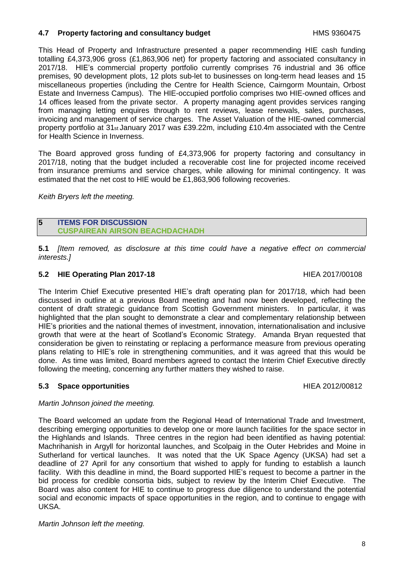# **4.7 Property factoring and consultancy budget HMS 9360475**

This Head of Property and Infrastructure presented a paper recommending HIE cash funding totalling £4,373,906 gross (£1,863,906 net) for property factoring and associated consultancy in 2017/18. HIE's commercial property portfolio currently comprises 76 industrial and 36 office premises, 90 development plots, 12 plots sub-let to businesses on long-term head leases and 15 miscellaneous properties (including the Centre for Health Science, Cairngorm Mountain, Orbost Estate and Inverness Campus). The HIE-occupied portfolio comprises two HIE-owned offices and 14 offices leased from the private sector. A property managing agent provides services ranging from managing letting enquires through to rent reviews, lease renewals, sales, purchases, invoicing and management of service charges. The Asset Valuation of the HIE-owned commercial property portfolio at 31st January 2017 was £39.22m, including £10.4m associated with the Centre for Health Science in Inverness.

The Board approved gross funding of £4,373,906 for property factoring and consultancy in 2017/18, noting that the budget included a recoverable cost line for projected income received from insurance premiums and service charges, while allowing for minimal contingency. It was estimated that the net cost to HIE would be £1,863,906 following recoveries.

*Keith Bryers left the meeting.*

## **5 ITEMS FOR DISCUSSION CUSPAIREAN AIRSON BEACHDACHADH**

**5.1** *[Item removed, as disclosure at this time could have a negative effect on commercial interests.]*

# **5.2 HIE Operating Plan 2017-18** HIEA 2017/00108

The Interim Chief Executive presented HIE's draft operating plan for 2017/18, which had been discussed in outline at a previous Board meeting and had now been developed, reflecting the content of draft strategic guidance from Scottish Government ministers. In particular, it was highlighted that the plan sought to demonstrate a clear and complementary relationship between HIE's priorities and the national themes of investment, innovation, internationalisation and inclusive growth that were at the heart of Scotland's Economic Strategy. Amanda Bryan requested that consideration be given to reinstating or replacing a performance measure from previous operating plans relating to HIE's role in strengthening communities, and it was agreed that this would be done. As time was limited, Board members agreed to contact the Interim Chief Executive directly following the meeting, concerning any further matters they wished to raise.

# **5.3 Space opportunities EXECUTE: EXECUTE: EXECUTE: HIEA 2012/00812**

# *Martin Johnson joined the meeting.*

The Board welcomed an update from the Regional Head of International Trade and Investment, describing emerging opportunities to develop one or more launch facilities for the space sector in the Highlands and Islands. Three centres in the region had been identified as having potential: Machrihanish in Argyll for horizontal launches, and Scolpaig in the Outer Hebrides and Moine in Sutherland for vertical launches. It was noted that the UK Space Agency (UKSA) had set a deadline of 27 April for any consortium that wished to apply for funding to establish a launch facility. With this deadline in mind, the Board supported HIE's request to become a partner in the bid process for credible consortia bids, subject to review by the Interim Chief Executive. The Board was also content for HIE to continue to progress due diligence to understand the potential social and economic impacts of space opportunities in the region, and to continue to engage with UKSA.

*Martin Johnson left the meeting.*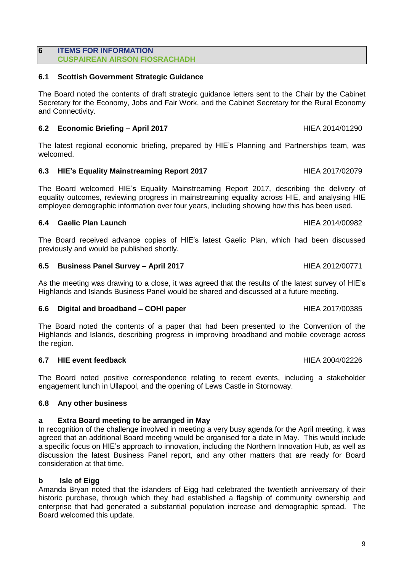#### **6 ITEMS FOR INFORMATION CUSPAIREAN AIRSON FIOSRACHADH**

# **6.1 Scottish Government Strategic Guidance**

The Board noted the contents of draft strategic guidance letters sent to the Chair by the Cabinet Secretary for the Economy, Jobs and Fair Work, and the Cabinet Secretary for the Rural Economy and Connectivity.

# **6.2 Economic Briefing – April 2017** HIEA 2014/01290

The latest regional economic briefing, prepared by HIE's Planning and Partnerships team, was welcomed.

# **6.3 HIE's Equality Mainstreaming Report 2017** HIEA 2017/02079

The Board welcomed HIE's Equality Mainstreaming Report 2017, describing the delivery of equality outcomes, reviewing progress in mainstreaming equality across HIE, and analysing HIE employee demographic information over four years, including showing how this has been used.

# **6.4 Gaelic Plan Launch** HIEA 2014/00982

The Board received advance copies of HIE's latest Gaelic Plan, which had been discussed previously and would be published shortly.

# **6.5 Business Panel Survey – April 2017** HIEA 2012/00771

As the meeting was drawing to a close, it was agreed that the results of the latest survey of HIE's Highlands and Islands Business Panel would be shared and discussed at a future meeting.

# **6.6 Digital and broadband – COHI paper** HIEA 2017/00385

The Board noted the contents of a paper that had been presented to the Convention of the Highlands and Islands, describing progress in improving broadband and mobile coverage across the region.

# **6.7 HIE event feedback HIEA 2004/02226**

The Board noted positive correspondence relating to recent events, including a stakeholder engagement lunch in Ullapool, and the opening of Lews Castle in Stornoway.

# **6.8 Any other business**

# **a Extra Board meeting to be arranged in May**

In recognition of the challenge involved in meeting a very busy agenda for the April meeting, it was agreed that an additional Board meeting would be organised for a date in May. This would include a specific focus on HIE's approach to innovation, including the Northern Innovation Hub, as well as discussion the latest Business Panel report, and any other matters that are ready for Board consideration at that time.

# **b Isle of Eigg**

Amanda Bryan noted that the islanders of Eigg had celebrated the twentieth anniversary of their historic purchase, through which they had established a flagship of community ownership and enterprise that had generated a substantial population increase and demographic spread. The Board welcomed this update.